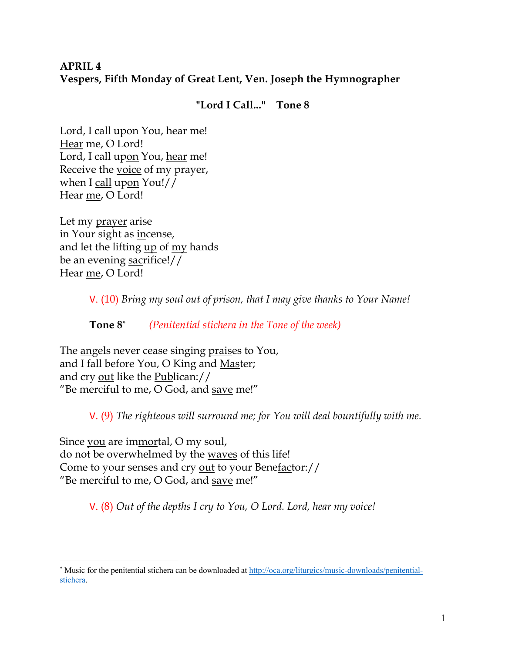# **APRIL 4 Vespers, Fifth Monday of Great Lent, Ven. Joseph the Hymnographer**

## **"Lord I Call..." Tone 8**

Lord, I call upon You, hear me! Hear me, O Lord! Lord, I call upon You, hear me! Receive the voice of my prayer, when I call upon You!// Hear me, O Lord!

Let my prayer arise in Your sight as incense, and let the lifting up of my hands be an evening sacrifice!// Hear me, O Lord!

V. (10) *Bring my soul out of prison, that I may give thanks to Your Name!* 

**Tone 8\*** *(Penitential stichera in the Tone of the week)* 

The angels never cease singing praises to You, and I fall before You, O King and Master; and cry out like the Publican:// "Be merciful to me,  $O$  God, and save me!"

V. (9) *The righteous will surround me; for You will deal bountifully with me.* 

Since you are immortal, O my soul, do not be overwhelmed by the waves of this life! Come to your senses and cry out to your Benefactor:// "Be merciful to me, O God, and save me!"

V. (8) *Out of the depths I cry to You, O Lord. Lord, hear my voice!* 

<sup>\*</sup> Music for the penitential stichera can be downloaded at http://oca.org/liturgics/music-downloads/penitentialstichera.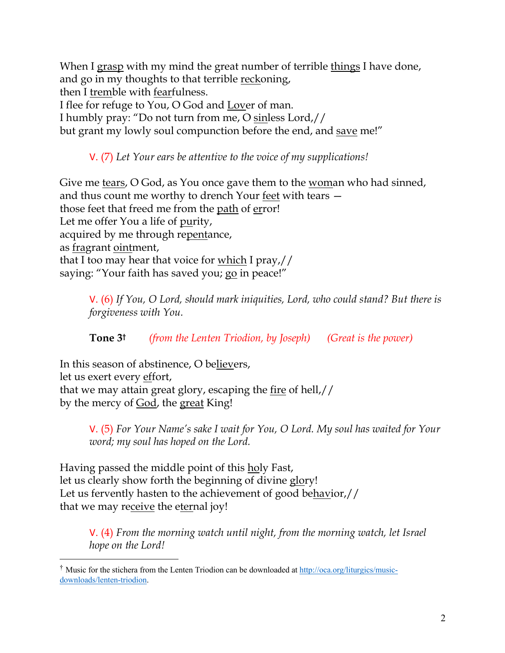When I grasp with my mind the great number of terrible things I have done, and go in my thoughts to that terrible reckoning, then I tremble with fearfulness. I flee for refuge to You, O God and Lover of man. I humbly pray: "Do not turn from me, O sinless Lord,// but grant my lowly soul compunction before the end, and save me!"

V. (7) *Let Your ears be attentive to the voice of my supplications!*

Give me tears, O God, as You once gave them to the woman who had sinned, and thus count me worthy to drench Your feet with tears those feet that freed me from the path of error! Let me offer You a life of purity, acquired by me through repentance, as fragrant ointment, that I too may hear that voice for which I pray,// saying: "Your faith has saved you; go in peace!"

V. (6) *If You, O Lord, should mark iniquities, Lord, who could stand? But there is forgiveness with You.* 

**Tone 3†** *(from the Lenten Triodion, by Joseph) (Great is the power)*

In this season of abstinence, O believers, let us exert every effort, that we may attain great glory, escaping the fire of hell,// by the mercy of God, the great King!

> V. (5) *For Your Name's sake I wait for You, O Lord. My soul has waited for Your word; my soul has hoped on the Lord.*

Having passed the middle point of this holy Fast, let us clearly show forth the beginning of divine glory! Let us fervently hasten to the achievement of good behavior,// that we may receive the eternal joy!

V. (4) *From the morning watch until night, from the morning watch, let Israel hope on the Lord!* 

<sup>&</sup>lt;sup>†</sup> Music for the stichera from the Lenten Triodion can be downloaded at http://oca.org/liturgics/musicdownloads/lenten-triodion.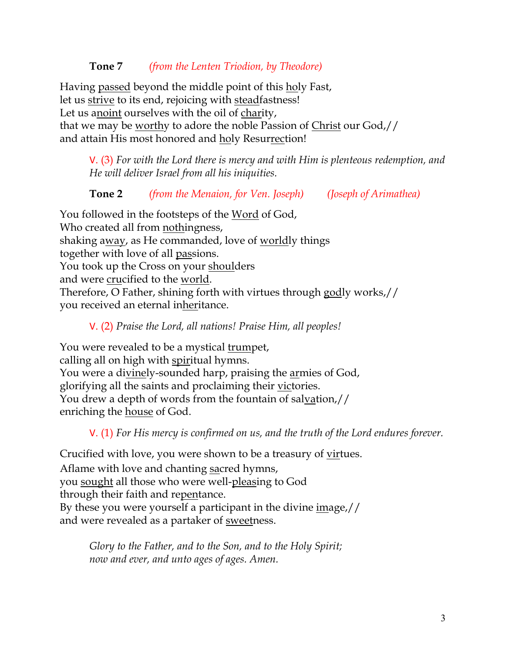## **Tone 7** *(from the Lenten Triodion, by Theodore)*

Having passed beyond the middle point of this holy Fast, let us strive to its end, rejoicing with steadfastness! Let us anoint ourselves with the oil of charity, that we may be worthy to adore the noble Passion of Christ our God,// and attain His most honored and holy Resurrection!

V. (3) *For with the Lord there is mercy and with Him is plenteous redemption, and He will deliver Israel from all his iniquities.*

**Tone 2** *(from the Menaion, for Ven. Joseph) (Joseph of Arimathea)*

You followed in the footsteps of the Word of God, Who created all from nothingness, shaking away, as He commanded, love of worldly things together with love of all passions. You took up the Cross on your shoulders and were crucified to the world. Therefore, O Father, shining forth with virtues through godly works,// you received an eternal inheritance.

#### V. (2) *Praise the Lord, all nations! Praise Him, all peoples!*

You were revealed to be a mystical trumpet, calling all on high with spiritual hymns. You were a divinely-sounded harp, praising the armies of God, glorifying all the saints and proclaiming their victories. You drew a depth of words from the fountain of salvation,// enriching the house of God.

V. (1) *For His mercy is confirmed on us, and the truth of the Lord endures forever.* 

Crucified with love, you were shown to be a treasury of virtues. Aflame with love and chanting sacred hymns, you sought all those who were well-pleasing to God through their faith and repentance. By these you were yourself a participant in the divine image,// and were revealed as a partaker of <u>sweet</u>ness.

*Glory to the Father, and to the Son, and to the Holy Spirit; now and ever, and unto ages of ages. Amen.*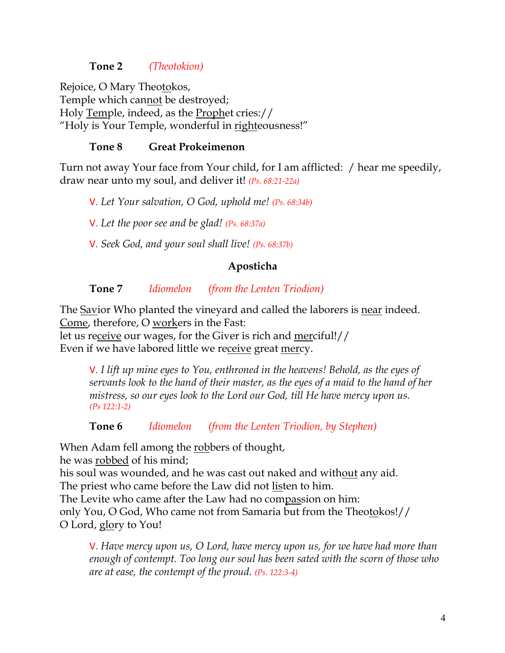#### **Tone 2** *(Theotokion)*

Rejoice, O Mary Theotokos, Temple which cannot be destroyed; Holy Temple, indeed, as the Prophet cries:// "Holy is Your Temple, wonderful in righteousness!"

## **Tone 8 Great Prokeimenon**

Turn not away Your face from Your child, for I am afflicted: / hear me speedily, draw near unto my soul, and deliver it! *(Ps. 68:21-22a)*

V. *Let Your salvation, O God, uphold me! (Ps. 68:34b)*

V. *Let the poor see and be glad! (Ps. 68:37a)*

V. *Seek God, and your soul shall live! (Ps. 68:37b)*

## **Aposticha**

## **Tone 7** *Idiomelon (from the Lenten Triodion)*

The Savior Who planted the vineyard and called the laborers is near indeed. Come, therefore, O workers in the Fast:

let us receive our wages, for the Giver is rich and merciful!// Even if we have labored little we receive great mercy.

> V. *I lift up mine eyes to You, enthroned in the heavens! Behold, as the eyes of servants look to the hand of their master, as the eyes of a maid to the hand of her mistress, so our eyes look to the Lord our God, till He have mercy upon us. (Ps 122:1-2)*

**Tone 6** *Idiomelon (from the Lenten Triodion, by Stephen)*

When Adam fell among the robbers of thought,

he was robbed of his mind;

his soul was wounded, and he was cast out naked and without any aid.

The priest who came before the Law did not listen to him.

The Levite who came after the Law had no compassion on him:

only You, O God, Who came not from Samaria but from the Theotokos!// O Lord, glory to You!

V. *Have mercy upon us, O Lord, have mercy upon us, for we have had more than enough of contempt. Too long our soul has been sated with the scorn of those who are at ease, the contempt of the proud. (Ps. 122:3-4)*